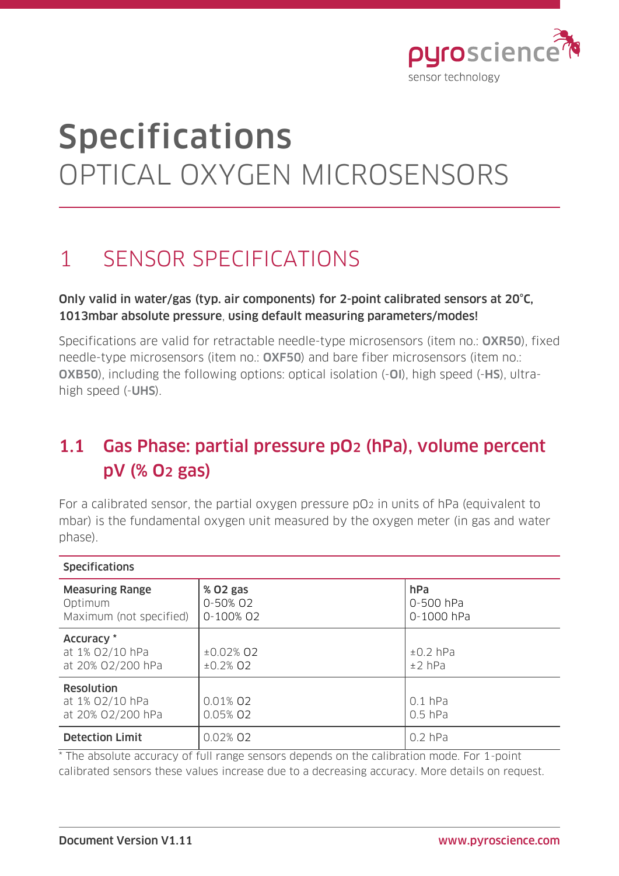

# Specifications OPTICAL OXYGEN MICROSENSORS

## 1 SENSOR SPECIFICATIONS

#### Only valid in water/gas (typ. air components) for 2-point calibrated sensors at 20°C, 1013mbar absolute pressure, using default measuring parameters/modes!

Specifications are valid for retractable needle-type microsensors (item no.: OXR50), fixed needle-type microsensors (item no.: OXF50) and bare fiber microsensors (item no.: OXB50), including the following options: optical isolation (-OI), high speed (-HS), ultrahigh speed (-UHS).

### 1.1 Gas Phase: partial pressure pO2 (hPa), volume percent pV (% O2 gas)

For a calibrated sensor, the partial oxygen pressure pO2 in units of hPa (equivalent to mbar) is the fundamental oxygen unit measured by the oxygen meter (in gas and water phase).

| <b>Specifications</b>                                        |                                   |                                |
|--------------------------------------------------------------|-----------------------------------|--------------------------------|
| <b>Measuring Range</b><br>Optimum<br>Maximum (not specified) | % 02 gas<br>0-50% 02<br>0-100% 02 | hPa<br>0-500 hPa<br>0-1000 hPa |
| Accuracy *<br>at 1% 02/10 hPa<br>at 20% 02/200 hPa           | $±0.02%$ Q2<br>$±0.2\%$ O2        | $±0.2$ hPa<br>$±2$ hPa         |
| <b>Resolution</b><br>at 1% 02/10 hPa<br>at 20% 02/200 hPa    | 0.01% 02<br>0.05% 02              | $0.1$ hPa<br>$0.5$ hPa         |
| <b>Detection Limit</b>                                       | 0.02% 02                          | $0.2$ hPa                      |

\* The absolute accuracy of full range sensors depends on the calibration mode. For 1-point calibrated sensors these values increase due to a decreasing accuracy. More details on request.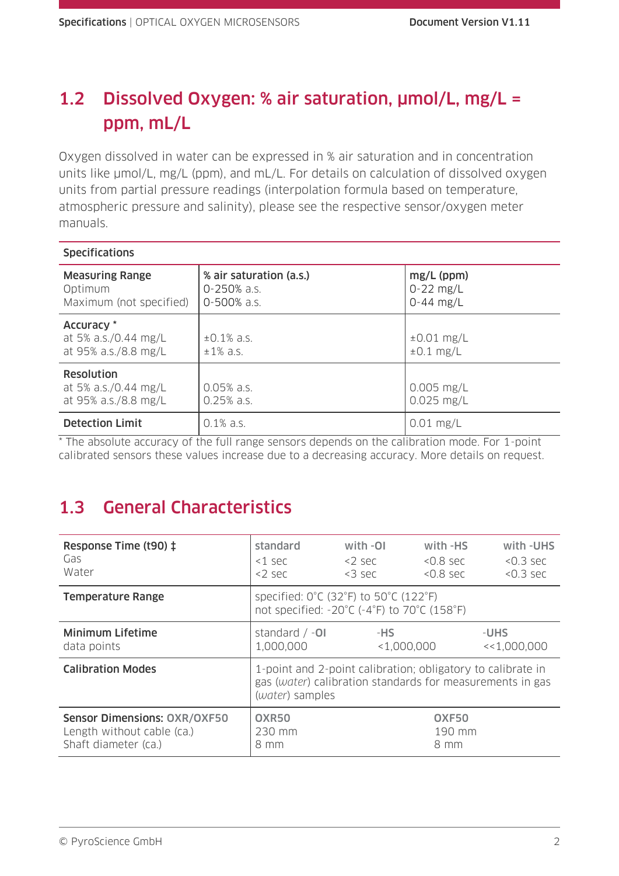### 1.2 Dissolved Oxygen: % air saturation, µmol/L, mg/L = ppm, mL/L

Oxygen dissolved in water can be expressed in % air saturation and in concentration units like  $\mu$ mol/L, mg/L (ppm), and mL/L. For details on calculation of dissolved oxygen units from partial pressure readings (interpolation formula based on temperature, atmospheric pressure and salinity), please see the respective sensor/oxygen meter manuals.

| <b>Specifications</b>                                             |                                                       |                                              |
|-------------------------------------------------------------------|-------------------------------------------------------|----------------------------------------------|
| <b>Measuring Range</b><br>Optimum<br>Maximum (not specified)      | % air saturation (a.s.)<br>0-250% a.s.<br>0-500% a.s. | $mg/L$ (ppm)<br>$0 - 22$ mg/L<br>$0-44$ mg/L |
| Accuracy *<br>at 5% a.s./0.44 mg/L<br>at 95% a.s./8.8 mg/L        | $\pm 0.1\%$ a.s.<br>$±1\%$ a.s.                       | $\pm 0.01$ mg/L<br>$\pm 0.1$ mg/L            |
| <b>Resolution</b><br>at 5% a.s./0.44 mg/L<br>at 95% a.s./8.8 mg/L | $0.05%$ a.s.<br>$0.25%$ a.s.                          | $0.005$ mg/L<br>$0.025$ mg/L                 |
| <b>Detection Limit</b>                                            | $0.1\%$ a.s.                                          | $0.01$ mg/L                                  |

\* The absolute accuracy of the full range sensors depends on the calibration mode. For 1-point calibrated sensors these values increase due to a decreasing accuracy. More details on request.

### 1.3 General Characteristics

| Response Time (t90) ‡<br>Gas<br>Water                                                     | standard<br>$<$ 1 sec<br>$<$ 2 sec                                                                                                          | with -OI<br>$<$ 2 sec<br>$<$ 3 sec | with -HS<br>$< 0.8$ sec<br>$< 0.8$ sec | with -UHS<br>$< 0.3$ sec<br>$< 0.3$ sec |
|-------------------------------------------------------------------------------------------|---------------------------------------------------------------------------------------------------------------------------------------------|------------------------------------|----------------------------------------|-----------------------------------------|
| <b>Temperature Range</b>                                                                  | specified: 0°C (32°F) to 50°C (122°F)<br>not specified: -20°C (-4°F) to 70°C (158°F)                                                        |                                    |                                        |                                         |
| <b>Minimum Lifetime</b><br>data points                                                    | standard $/ -01$<br>1,000,000                                                                                                               | -HS<br>< 1,000,000                 |                                        | -UHS<br><<1,000,000                     |
| <b>Calibration Modes</b>                                                                  | 1-point and 2-point calibration; obligatory to calibrate in<br>gas (water) calibration standards for measurements in gas<br>(water) samples |                                    |                                        |                                         |
| <b>Sensor Dimensions: OXR/OXF50</b><br>Length without cable (ca.)<br>Shaft diameter (ca.) | <b>OXR50</b><br>230 mm<br>8 mm                                                                                                              |                                    | OXF50<br>190 mm<br>8 mm                |                                         |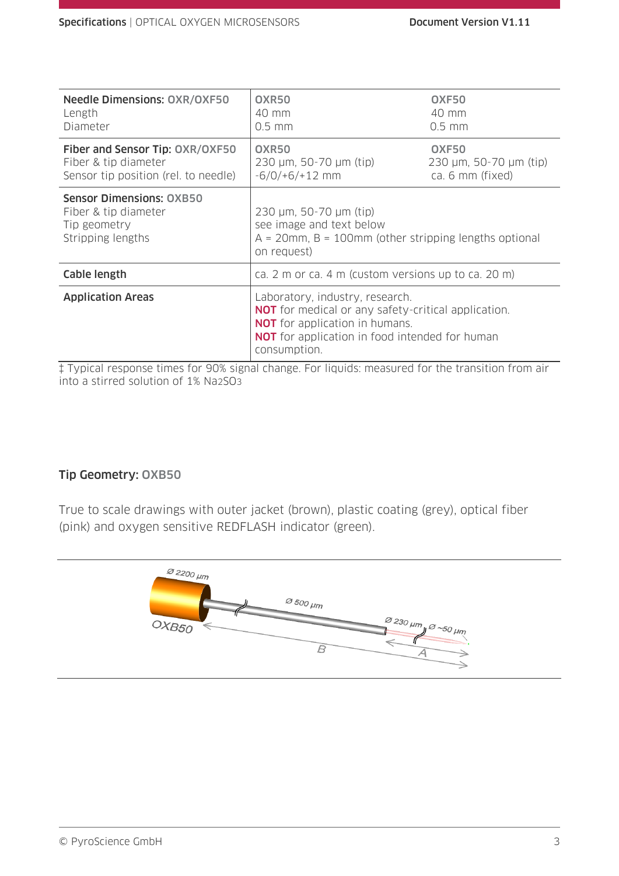| <b>Needle Dimensions: OXR/OXF50</b><br>Length<br>Diameter                                       | OXR50<br>40 mm<br>$0.5$ mm                                                                                                                                                                                      | OXF50<br>40 mm<br>$0.5$ mm                          |
|-------------------------------------------------------------------------------------------------|-----------------------------------------------------------------------------------------------------------------------------------------------------------------------------------------------------------------|-----------------------------------------------------|
| Fiber and Sensor Tip: OXR/OXF50<br>Fiber & tip diameter<br>Sensor tip position (rel. to needle) | OXR50<br>230 µm, 50-70 µm (tip)<br>$-6/0/+6/+12$ mm                                                                                                                                                             | OXF50<br>230 µm, 50-70 µm (tip)<br>ca. 6 mm (fixed) |
| <b>Sensor Dimensions: OXB50</b><br>Fiber & tip diameter<br>Tip geometry<br>Stripping lengths    | 230 µm, 50-70 µm (tip)<br>see image and text below<br>$A = 20$ mm, B = 100mm (other stripping lengths optional<br>on request)                                                                                   |                                                     |
| Cable length                                                                                    | ca. 2 m or ca. 4 m (custom versions up to ca. 20 m)                                                                                                                                                             |                                                     |
| <b>Application Areas</b>                                                                        | Laboratory, industry, research.<br><b>NOT</b> for medical or any safety-critical application.<br><b>NOT</b> for application in humans.<br><b>NOT</b> for application in food intended for human<br>consumption. |                                                     |

‡ Typical response times for 90% signal change. For liquids: measured for the transition from air into a stirred solution of 1% Na2SO3

#### Tip Geometry: OXB50

True to scale drawings with outer jacket (brown), plastic coating (grey), optical fiber (pink) and oxygen sensitive REDFLASH indicator (green).

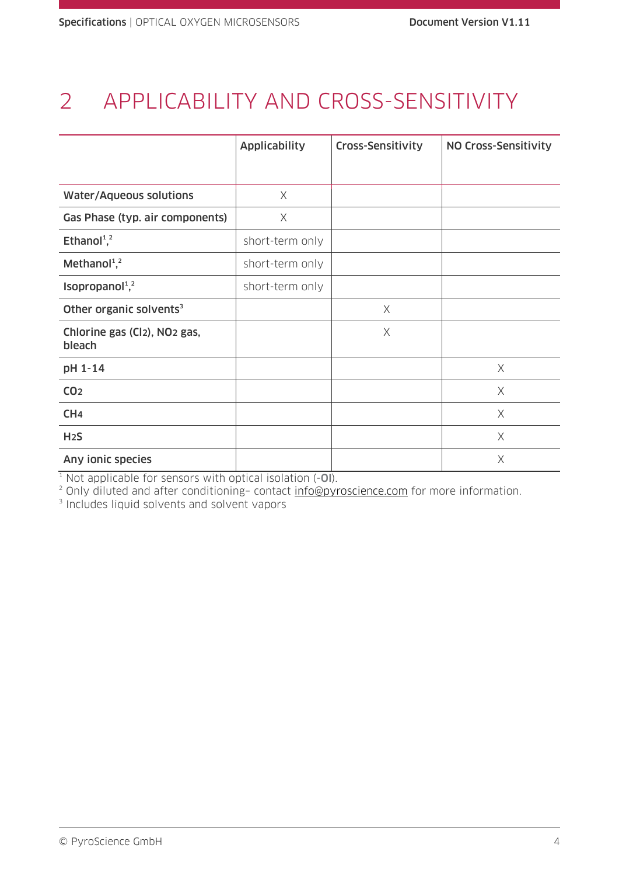# 2 APPLICABILITY AND CROSS-SENSITIVITY

|                                                    | <b>Applicability</b> | <b>Cross-Sensitivity</b> | NO Cross-Sensitivity |
|----------------------------------------------------|----------------------|--------------------------|----------------------|
|                                                    |                      |                          |                      |
| <b>Water/Aqueous solutions</b>                     | $\times$             |                          |                      |
| Gas Phase (typ. air components)                    | X                    |                          |                      |
| Ethanol <sup>1</sup> , <sup>2</sup>                | short-term only      |                          |                      |
| Methanol <sup>1</sup> , <sup>2</sup>               | short-term only      |                          |                      |
| Isopropanol <sup>1</sup> , <sup>2</sup>            | short-term only      |                          |                      |
| Other organic solvents <sup>3</sup>                |                      | X                        |                      |
| Chlorine gas (Cl2), NO <sub>2</sub> gas,<br>bleach |                      | $\times$                 |                      |
| pH 1-14                                            |                      |                          | $\times$             |
| CO <sub>2</sub>                                    |                      |                          | X                    |
| CH <sub>4</sub>                                    |                      |                          | $\times$             |
| H <sub>2</sub> S                                   |                      |                          | X                    |
| Any ionic species                                  |                      |                          | X                    |

 $1$  Not applicable for sensors with optical isolation  $(-0)$ .

<sup>2</sup> Only diluted and after conditioning– contact [info@pyroscience.com](mailto:info@pyroscience.com) for more information.

3 Includes liquid solvents and solvent vapors